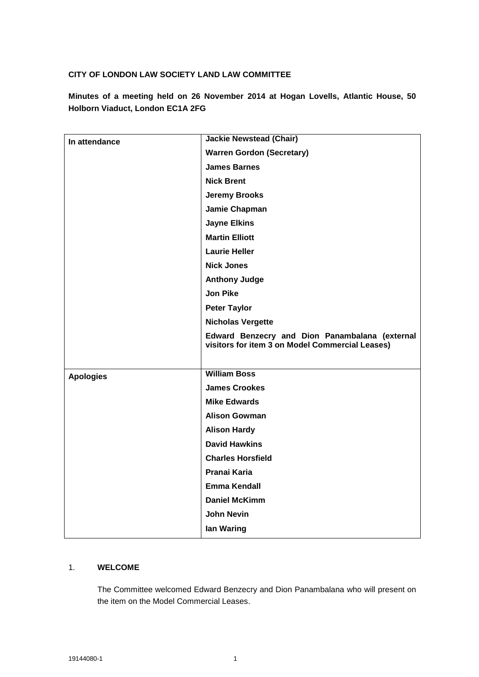### **CITY OF LONDON LAW SOCIETY LAND LAW COMMITTEE**

**Minutes of a meeting held on 26 November 2014 at Hogan Lovells, Atlantic House, 50 Holborn Viaduct, London EC1A 2FG**

| In attendance    | <b>Jackie Newstead (Chair)</b>                                                                    |
|------------------|---------------------------------------------------------------------------------------------------|
|                  | <b>Warren Gordon (Secretary)</b>                                                                  |
|                  | <b>James Barnes</b>                                                                               |
|                  | <b>Nick Brent</b>                                                                                 |
|                  | <b>Jeremy Brooks</b>                                                                              |
|                  | Jamie Chapman                                                                                     |
|                  | <b>Jayne Elkins</b>                                                                               |
|                  | <b>Martin Elliott</b>                                                                             |
|                  | <b>Laurie Heller</b>                                                                              |
|                  | <b>Nick Jones</b>                                                                                 |
|                  | <b>Anthony Judge</b>                                                                              |
|                  | <b>Jon Pike</b>                                                                                   |
|                  | <b>Peter Taylor</b>                                                                               |
|                  | <b>Nicholas Vergette</b>                                                                          |
|                  | Edward Benzecry and Dion Panambalana (external<br>visitors for item 3 on Model Commercial Leases) |
|                  |                                                                                                   |
| <b>Apologies</b> | <b>William Boss</b>                                                                               |
|                  | <b>James Crookes</b>                                                                              |
|                  | <b>Mike Edwards</b>                                                                               |
|                  |                                                                                                   |
|                  | <b>Alison Gowman</b>                                                                              |
|                  | <b>Alison Hardy</b>                                                                               |
|                  | <b>David Hawkins</b>                                                                              |
|                  | <b>Charles Horsfield</b>                                                                          |
|                  | Pranai Karia                                                                                      |
|                  | <b>Emma Kendall</b>                                                                               |
|                  | <b>Daniel McKimm</b>                                                                              |
|                  | <b>John Nevin</b>                                                                                 |
|                  | lan Waring                                                                                        |

### 1. **WELCOME**

The Committee welcomed Edward Benzecry and Dion Panambalana who will present on the item on the Model Commercial Leases.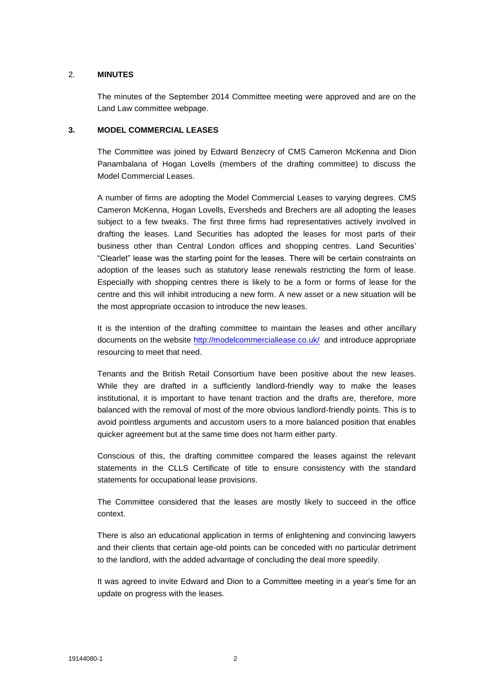### 2. **MINUTES**

The minutes of the September 2014 Committee meeting were approved and are on the Land Law committee webpage.

#### **3. MODEL COMMERCIAL LEASES**

The Committee was joined by Edward Benzecry of CMS Cameron McKenna and Dion Panambalana of Hogan Lovells (members of the drafting committee) to discuss the Model Commercial Leases.

A number of firms are adopting the Model Commercial Leases to varying degrees. CMS Cameron McKenna, Hogan Lovells, Eversheds and Brechers are all adopting the leases subject to a few tweaks. The first three firms had representatives actively involved in drafting the leases. Land Securities has adopted the leases for most parts of their business other than Central London offices and shopping centres. Land Securities' "Clearlet" lease was the starting point for the leases. There will be certain constraints on adoption of the leases such as statutory lease renewals restricting the form of lease. Especially with shopping centres there is likely to be a form or forms of lease for the centre and this will inhibit introducing a new form. A new asset or a new situation will be the most appropriate occasion to introduce the new leases.

It is the intention of the drafting committee to maintain the leases and other ancillary documents on the website<http://modelcommerciallease.co.uk/> and introduce appropriate resourcing to meet that need.

Tenants and the British Retail Consortium have been positive about the new leases. While they are drafted in a sufficiently landlord-friendly way to make the leases institutional, it is important to have tenant traction and the drafts are, therefore, more balanced with the removal of most of the more obvious landlord-friendly points. This is to avoid pointless arguments and accustom users to a more balanced position that enables quicker agreement but at the same time does not harm either party.

Conscious of this, the drafting committee compared the leases against the relevant statements in the CLLS Certificate of title to ensure consistency with the standard statements for occupational lease provisions.

The Committee considered that the leases are mostly likely to succeed in the office context.

There is also an educational application in terms of enlightening and convincing lawyers and their clients that certain age-old points can be conceded with no particular detriment to the landlord, with the added advantage of concluding the deal more speedily.

It was agreed to invite Edward and Dion to a Committee meeting in a year's time for an update on progress with the leases.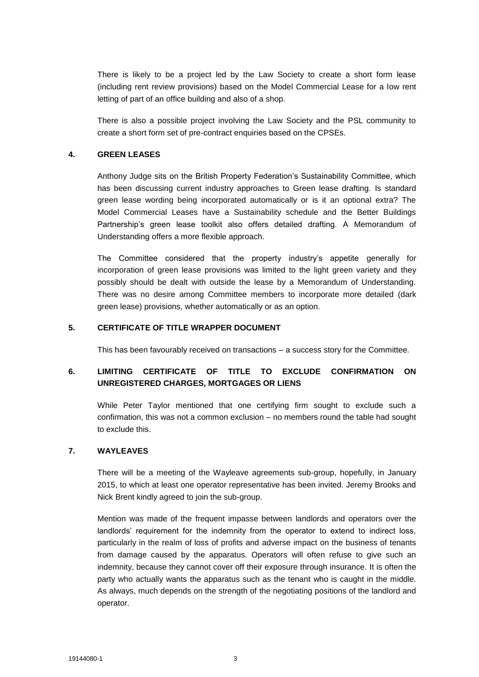There is likely to be a project led by the Law Society to create a short form lease (including rent review provisions) based on the Model Commercial Lease for a low rent letting of part of an office building and also of a shop.

There is also a possible project involving the Law Society and the PSL community to create a short form set of pre-contract enquiries based on the CPSEs.

### **4. GREEN LEASES**

Anthony Judge sits on the British Property Federation's Sustainability Committee, which has been discussing current industry approaches to Green lease drafting. Is standard green lease wording being incorporated automatically or is it an optional extra? The Model Commercial Leases have a Sustainability schedule and the Better Buildings Partnership's green lease toolkit also offers detailed drafting. A Memorandum of Understanding offers a more flexible approach.

The Committee considered that the property industry's appetite generally for incorporation of green lease provisions was limited to the light green variety and they possibly should be dealt with outside the lease by a Memorandum of Understanding. There was no desire among Committee members to incorporate more detailed (dark green lease) provisions, whether automatically or as an option.

#### **5. CERTIFICATE OF TITLE WRAPPER DOCUMENT**

This has been favourably received on transactions – a success story for the Committee.

# **6. LIMITING CERTIFICATE OF TITLE TO EXCLUDE CONFIRMATION ON UNREGISTERED CHARGES, MORTGAGES OR LIENS**

While Peter Taylor mentioned that one certifying firm sought to exclude such a confirmation, this was not a common exclusion – no members round the table had sought to exclude this.

#### **7. WAYLEAVES**

There will be a meeting of the Wayleave agreements sub-group, hopefully, in January 2015, to which at least one operator representative has been invited. Jeremy Brooks and Nick Brent kindly agreed to join the sub-group.

Mention was made of the frequent impasse between landlords and operators over the landlords' requirement for the indemnity from the operator to extend to indirect loss, particularly in the realm of loss of profits and adverse impact on the business of tenants from damage caused by the apparatus. Operators will often refuse to give such an indemnity, because they cannot cover off their exposure through insurance. It is often the party who actually wants the apparatus such as the tenant who is caught in the middle. As always, much depends on the strength of the negotiating positions of the landlord and operator.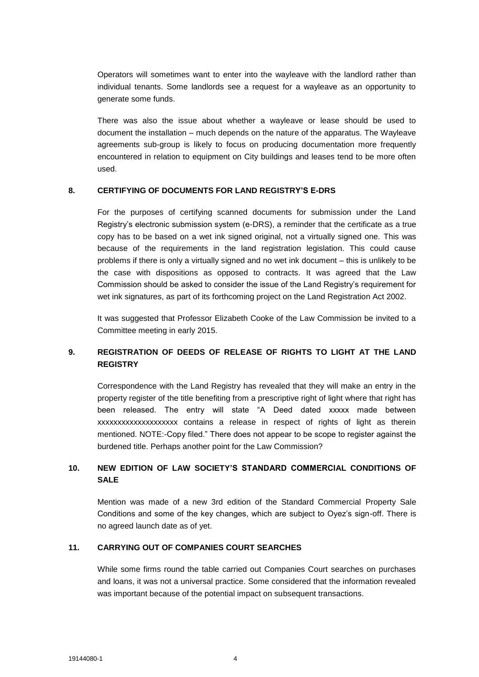Operators will sometimes want to enter into the wayleave with the landlord rather than individual tenants. Some landlords see a request for a wayleave as an opportunity to generate some funds.

There was also the issue about whether a wayleave or lease should be used to document the installation – much depends on the nature of the apparatus. The Wayleave agreements sub-group is likely to focus on producing documentation more frequently encountered in relation to equipment on City buildings and leases tend to be more often used.

### **8. CERTIFYING OF DOCUMENTS FOR LAND REGISTRY'S E-DRS**

For the purposes of certifying scanned documents for submission under the Land Registry's electronic submission system (e-DRS), a reminder that the certificate as a true copy has to be based on a wet ink signed original, not a virtually signed one. This was because of the requirements in the land registration legislation. This could cause problems if there is only a virtually signed and no wet ink document – this is unlikely to be the case with dispositions as opposed to contracts. It was agreed that the Law Commission should be asked to consider the issue of the Land Registry's requirement for wet ink signatures, as part of its forthcoming project on the Land Registration Act 2002.

It was suggested that Professor Elizabeth Cooke of the Law Commission be invited to a Committee meeting in early 2015.

## **9. REGISTRATION OF DEEDS OF RELEASE OF RIGHTS TO LIGHT AT THE LAND REGISTRY**

Correspondence with the Land Registry has revealed that they will make an entry in the property register of the title benefiting from a prescriptive right of light where that right has been released. The entry will state "A Deed dated xxxxx made between xxxxxxxxxxxxxxxxxxxx contains a release in respect of rights of light as therein mentioned. NOTE:-Copy filed." There does not appear to be scope to register against the burdened title. Perhaps another point for the Law Commission?

# **10. NEW EDITION OF LAW SOCIETY'S STANDARD COMMERCIAL CONDITIONS OF SALE**

Mention was made of a new 3rd edition of the Standard Commercial Property Sale Conditions and some of the key changes, which are subject to Oyez's sign-off. There is no agreed launch date as of yet.

### **11. CARRYING OUT OF COMPANIES COURT SEARCHES**

While some firms round the table carried out Companies Court searches on purchases and loans, it was not a universal practice. Some considered that the information revealed was important because of the potential impact on subsequent transactions.